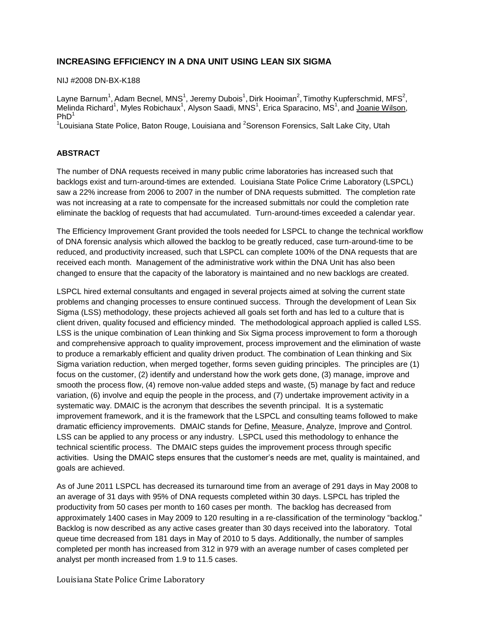# **INCREASING EFFICIENCY IN A DNA UNIT USING LEAN SIX SIGMA**

NIJ #2008 DN-BX-K188

Layne Barnum<sup>1</sup>, Adam Becnel, MNS<sup>1</sup>, Jeremy Dubois<sup>1</sup>, Dirk Hooiman<sup>2</sup>, Timothy Kupferschmid, MFS<sup>2</sup>, Melinda Richard<sup>1</sup>, Myles Robichaux<sup>1</sup>, Alyson Saadi, MNS<sup>1</sup>, Erica Sparacino, MS<sup>1</sup>, and Joanie Wilson,  $PhD<sup>1</sup>$ 

<sup>1</sup>Louisiana State Police, Baton Rouge, Louisiana and <sup>2</sup>Sorenson Forensics, Salt Lake City, Utah

# **ABSTRACT**

The number of DNA requests received in many public crime laboratories has increased such that backlogs exist and turn-around-times are extended. Louisiana State Police Crime Laboratory (LSPCL) saw a 22% increase from 2006 to 2007 in the number of DNA requests submitted. The completion rate was not increasing at a rate to compensate for the increased submittals nor could the completion rate eliminate the backlog of requests that had accumulated. Turn-around-times exceeded a calendar year.

The Efficiency Improvement Grant provided the tools needed for LSPCL to change the technical workflow of DNA forensic analysis which allowed the backlog to be greatly reduced, case turn-around-time to be reduced, and productivity increased, such that LSPCL can complete 100% of the DNA requests that are received each month. Management of the administrative work within the DNA Unit has also been changed to ensure that the capacity of the laboratory is maintained and no new backlogs are created.

LSPCL hired external consultants and engaged in several projects aimed at solving the current state problems and changing processes to ensure continued success. Through the development of Lean Six Sigma (LSS) methodology, these projects achieved all goals set forth and has led to a culture that is client driven, quality focused and efficiency minded. The methodological approach applied is called LSS. LSS is the unique combination of Lean thinking and Six Sigma process improvement to form a thorough and comprehensive approach to quality improvement, process improvement and the elimination of waste to produce a remarkably efficient and quality driven product. The combination of Lean thinking and Six Sigma variation reduction, when merged together, forms seven guiding principles. The principles are (1) focus on the customer, (2) identify and understand how the work gets done, (3) manage, improve and smooth the process flow, (4) remove non-value added steps and waste, (5) manage by fact and reduce variation, (6) involve and equip the people in the process, and (7) undertake improvement activity in a systematic way. DMAIC is the acronym that describes the seventh principal. It is a systematic improvement framework, and it is the framework that the LSPCL and consulting teams followed to make dramatic efficiency improvements. DMAIC stands for Define, Measure, Analyze, Improve and Control. LSS can be applied to any process or any industry. LSPCL used this methodology to enhance the technical scientific process. The DMAIC steps guides the improvement process through specific activities. Using the DMAIC steps ensures that the customer's needs are met, quality is maintained, and goals are achieved.

As of June 2011 LSPCL has decreased its turnaround time from an average of 291 days in May 2008 to an average of 31 days with 95% of DNA requests completed within 30 days. LSPCL has tripled the productivity from 50 cases per month to 160 cases per month. The backlog has decreased from approximately 1400 cases in May 2009 to 120 resulting in a re-classification of the terminology "backlog." Backlog is now described as any active cases greater than 30 days received into the laboratory. Total queue time decreased from 181 days in May of 2010 to 5 days. Additionally, the number of samples completed per month has increased from 312 in 979 with an average number of cases completed per analyst per month increased from 1.9 to 11.5 cases.

Louisiana State Police Crime Laboratory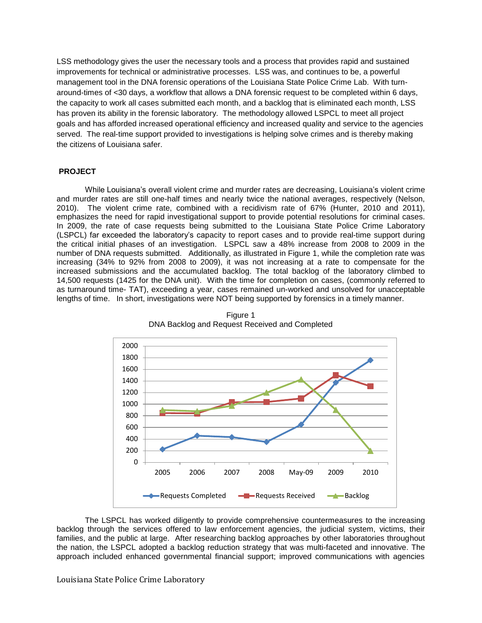LSS methodology gives the user the necessary tools and a process that provides rapid and sustained improvements for technical or administrative processes. LSS was, and continues to be, a powerful management tool in the DNA forensic operations of the Louisiana State Police Crime Lab. With turnaround-times of <30 days, a workflow that allows a DNA forensic request to be completed within 6 days, the capacity to work all cases submitted each month, and a backlog that is eliminated each month, LSS has proven its ability in the forensic laboratory. The methodology allowed LSPCL to meet all project goals and has afforded increased operational efficiency and increased quality and service to the agencies served. The real-time support provided to investigations is helping solve crimes and is thereby making the citizens of Louisiana safer.

#### **PROJECT**

While Louisiana's overall violent crime and murder rates are decreasing, Louisiana's violent crime and murder rates are still one-half times and nearly twice the national averages, respectively (Nelson, 2010). The violent crime rate, combined with a recidivism rate of 67% (Hunter, 2010 and 2011), emphasizes the need for rapid investigational support to provide potential resolutions for criminal cases. In 2009, the rate of case requests being submitted to the Louisiana State Police Crime Laboratory (LSPCL) far exceeded the laboratory's capacity to report cases and to provide real-time support during the critical initial phases of an investigation. LSPCL saw a 48% increase from 2008 to 2009 in the number of DNA requests submitted. Additionally, as illustrated in Figure 1, while the completion rate was increasing (34% to 92% from 2008 to 2009), it was not increasing at a rate to compensate for the increased submissions and the accumulated backlog. The total backlog of the laboratory climbed to 14,500 requests (1425 for the DNA unit). With the time for completion on cases, (commonly referred to as turnaround time- TAT), exceeding a year, cases remained un-worked and unsolved for unacceptable lengths of time. In short, investigations were NOT being supported by forensics in a timely manner.



Figure 1 DNA Backlog and Request Received and Completed

The LSPCL has worked diligently to provide comprehensive countermeasures to the increasing backlog through the services offered to law enforcement agencies, the judicial system, victims, their families, and the public at large. After researching backlog approaches by other laboratories throughout the nation, the LSPCL adopted a backlog reduction strategy that was multi-faceted and innovative. The approach included enhanced governmental financial support; improved communications with agencies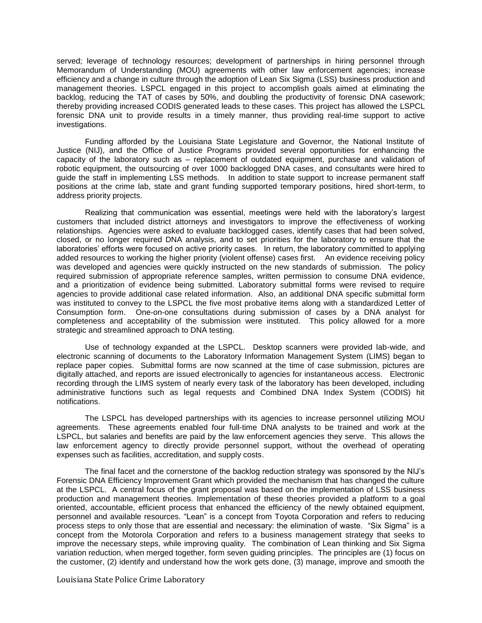served; leverage of technology resources; development of partnerships in hiring personnel through Memorandum of Understanding (MOU) agreements with other law enforcement agencies; increase efficiency and a change in culture through the adoption of Lean Six Sigma (LSS) business production and management theories. LSPCL engaged in this project to accomplish goals aimed at eliminating the backlog, reducing the TAT of cases by 50%, and doubling the productivity of forensic DNA casework; thereby providing increased CODIS generated leads to these cases. This project has allowed the LSPCL forensic DNA unit to provide results in a timely manner, thus providing real-time support to active investigations.

Funding afforded by the Louisiana State Legislature and Governor, the National Institute of Justice (NIJ), and the Office of Justice Programs provided several opportunities for enhancing the capacity of the laboratory such as – replacement of outdated equipment, purchase and validation of robotic equipment, the outsourcing of over 1000 backlogged DNA cases, and consultants were hired to guide the staff in implementing LSS methods. In addition to state support to increase permanent staff positions at the crime lab, state and grant funding supported temporary positions, hired short-term, to address priority projects.

Realizing that communication was essential, meetings were held with the laboratory's largest customers that included district attorneys and investigators to improve the effectiveness of working relationships. Agencies were asked to evaluate backlogged cases, identify cases that had been solved, closed, or no longer required DNA analysis, and to set priorities for the laboratory to ensure that the laboratories' efforts were focused on active priority cases. In return, the laboratory committed to applying added resources to working the higher priority (violent offense) cases first. An evidence receiving policy was developed and agencies were quickly instructed on the new standards of submission. The policy required submission of appropriate reference samples, written permission to consume DNA evidence, and a prioritization of evidence being submitted. Laboratory submittal forms were revised to require agencies to provide additional case related information. Also, an additional DNA specific submittal form was instituted to convey to the LSPCL the five most probative items along with a standardized Letter of Consumption form. One-on-one consultations during submission of cases by a DNA analyst for completeness and acceptability of the submission were instituted. This policy allowed for a more strategic and streamlined approach to DNA testing.

Use of technology expanded at the LSPCL. Desktop scanners were provided lab-wide, and electronic scanning of documents to the Laboratory Information Management System (LIMS) began to replace paper copies. Submittal forms are now scanned at the time of case submission, pictures are digitally attached, and reports are issued electronically to agencies for instantaneous access. Electronic recording through the LIMS system of nearly every task of the laboratory has been developed, including administrative functions such as legal requests and Combined DNA Index System (CODIS) hit notifications.

The LSPCL has developed partnerships with its agencies to increase personnel utilizing MOU agreements. These agreements enabled four full-time DNA analysts to be trained and work at the LSPCL, but salaries and benefits are paid by the law enforcement agencies they serve. This allows the law enforcement agency to directly provide personnel support, without the overhead of operating expenses such as facilities, accreditation, and supply costs.

The final facet and the cornerstone of the backlog reduction strategy was sponsored by the NIJ's Forensic DNA Efficiency Improvement Grant which provided the mechanism that has changed the culture at the LSPCL. A central focus of the grant proposal was based on the implementation of LSS business production and management theories. Implementation of these theories provided a platform to a goal oriented, accountable, efficient process that enhanced the efficiency of the newly obtained equipment, personnel and available resources. "Lean" is a concept from Toyota Corporation and refers to reducing process steps to only those that are essential and necessary: the elimination of waste. "Six Sigma" is a concept from the Motorola Corporation and refers to a business management strategy that seeks to improve the necessary steps, while improving quality. The combination of Lean thinking and Six Sigma variation reduction, when merged together, form seven guiding principles. The principles are (1) focus on the customer, (2) identify and understand how the work gets done, (3) manage, improve and smooth the

Louisiana State Police Crime Laboratory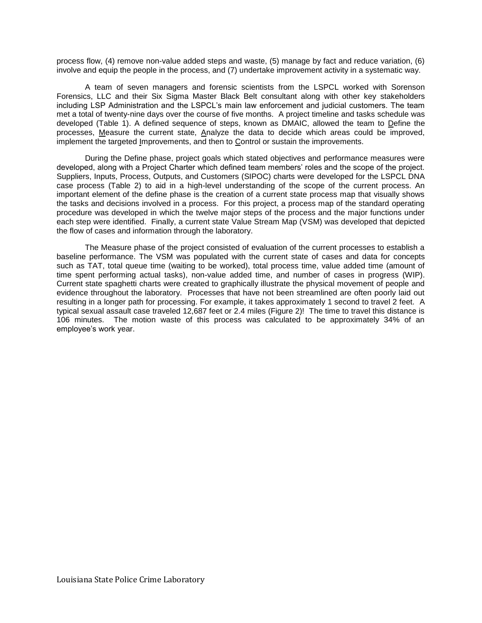process flow, (4) remove non-value added steps and waste, (5) manage by fact and reduce variation, (6) involve and equip the people in the process, and (7) undertake improvement activity in a systematic way.

A team of seven managers and forensic scientists from the LSPCL worked with Sorenson Forensics, LLC and their Six Sigma Master Black Belt consultant along with other key stakeholders including LSP Administration and the LSPCL's main law enforcement and judicial customers. The team met a total of twenty-nine days over the course of five months. A project timeline and tasks schedule was developed (Table 1). A defined sequence of steps, known as DMAIC, allowed the team to Define the processes, Measure the current state, Analyze the data to decide which areas could be improved, implement the targeted Improvements, and then to Control or sustain the improvements.

During the Define phase, project goals which stated objectives and performance measures were developed, along with a Project Charter which defined team members' roles and the scope of the project. Suppliers, Inputs, Process, Outputs, and Customers (SIPOC) charts were developed for the LSPCL DNA case process (Table 2) to aid in a high-level understanding of the scope of the current process. An important element of the define phase is the creation of a current state process map that visually shows the tasks and decisions involved in a process. For this project, a process map of the standard operating procedure was developed in which the twelve major steps of the process and the major functions under each step were identified. Finally, a current state Value Stream Map (VSM) was developed that depicted the flow of cases and information through the laboratory.

The Measure phase of the project consisted of evaluation of the current processes to establish a baseline performance. The VSM was populated with the current state of cases and data for concepts such as TAT, total queue time (waiting to be worked), total process time, value added time (amount of time spent performing actual tasks), non-value added time, and number of cases in progress (WIP). Current state spaghetti charts were created to graphically illustrate the physical movement of people and evidence throughout the laboratory. Processes that have not been streamlined are often poorly laid out resulting in a longer path for processing. For example, it takes approximately 1 second to travel 2 feet. A typical sexual assault case traveled 12,687 feet or 2.4 miles (Figure 2)! The time to travel this distance is 106 minutes. The motion waste of this process was calculated to be approximately 34% of an employee's work year.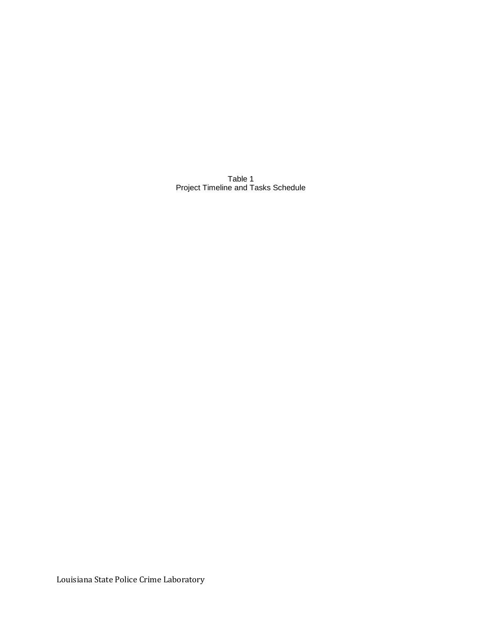Table 1 Project Timeline and Tasks Schedule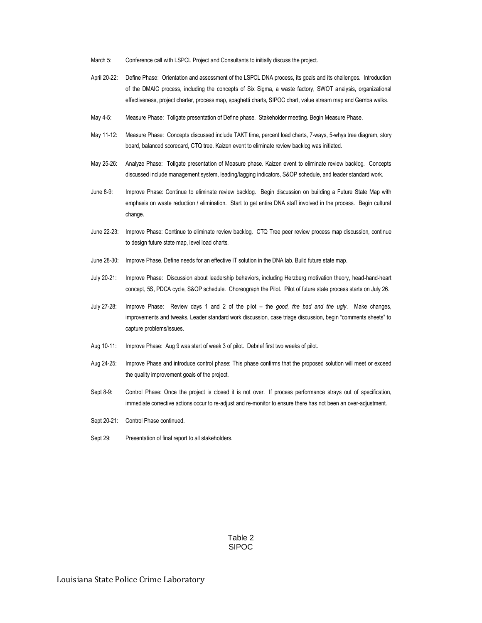- March 5: Conference call with LSPCL Project and Consultants to initially discuss the project.
- April 20-22: Define Phase: Orientation and assessment of the LSPCL DNA process, its goals and its challenges. Introduction of the DMAIC process, including the concepts of Six Sigma, a waste factory, SWOT analysis, organizational effectiveness, project charter, process map, spaghetti charts, SIPOC chart, value stream map and Gemba walks.
- May 4-5: Measure Phase: Tollgate presentation of Define phase. Stakeholder meeting. Begin Measure Phase.
- May 11-12: Measure Phase: Concepts discussed include TAKT time, percent load charts, 7-ways, 5-whys tree diagram, story board, balanced scorecard, CTQ tree. Kaizen event to eliminate review backlog was initiated.
- May 25-26: Analyze Phase: Tollgate presentation of Measure phase. Kaizen event to eliminate review backlog. Concepts discussed include management system, leading/lagging indicators, S&OP schedule, and leader standard work.
- June 8-9: Improve Phase: Continue to eliminate review backlog. Begin discussion on building a Future State Map with emphasis on waste reduction / elimination. Start to get entire DNA staff involved in the process. Begin cultural change.
- June 22-23: Improve Phase: Continue to eliminate review backlog. CTQ Tree peer review process map discussion, continue to design future state map, level load charts.
- June 28-30: Improve Phase. Define needs for an effective IT solution in the DNA lab. Build future state map.
- July 20-21: Improve Phase: Discussion about leadership behaviors, including Herzberg motivation theory, head-hand-heart concept, 5S, PDCA cycle, S&OP schedule. Choreograph the Pilot. Pilot of future state process starts on July 26.
- July 27-28: Improve Phase: Review days 1 and 2 of the pilot the *good, the bad and the ugly*. Make changes, improvements and tweaks. Leader standard work discussion, case triage discussion, begin "comments sheets" to capture problems/issues.
- Aug 10-11: Improve Phase: Aug 9 was start of week 3 of pilot. Debrief first two weeks of pilot.
- Aug 24-25: Improve Phase and introduce control phase: This phase confirms that the proposed solution will meet or exceed the quality improvement goals of the project.
- Sept 8-9: Control Phase: Once the project is closed it is not over. If process performance strays out of specification, immediate corrective actions occur to re-adjust and re-monitor to ensure there has not been an over-adjustment.
- Sept 20-21: Control Phase continued.
- Sept 29: Presentation of final report to all stakeholders.

Table 2 SIPOC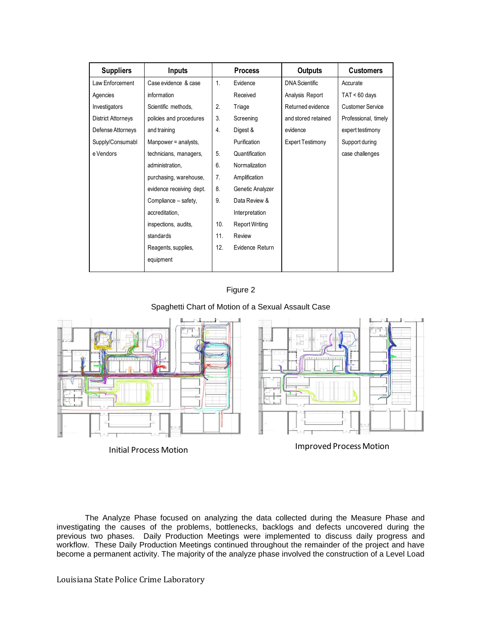| <b>Suppliers</b>          | <b>Inputs</b>            |                | <b>Process</b>        | <b>Outputs</b>          | <b>Customers</b>        |
|---------------------------|--------------------------|----------------|-----------------------|-------------------------|-------------------------|
| Law Enforcement           | Case evidence & case     | $\mathbf{1}$ . | Evidence              | <b>DNA Scientific</b>   | Accurate                |
| Agencies                  | information              |                | Received              | Analysis Report         | $TAT < 60$ days         |
| Investigators             | Scientific methods,      | 2.             | Triage                | Returned evidence       | <b>Customer Service</b> |
| <b>District Attorneys</b> | policies and procedures  | 3.             | Screening             | and stored retained     | Professional, timely    |
| Defense Attorneys         | and training             | 4.             | Digest &              | evidence                | expert testimony        |
| Supply/Consumabl          | Manpower = analysts,     |                | Purification          | <b>Expert Testimony</b> | Support during          |
| e Vendors                 | technicians, managers,   | 5.             | Quantification        |                         | case challenges         |
|                           | administration,          | 6.             | Normalization         |                         |                         |
|                           | purchasing, warehouse,   | 7.             | Amplification         |                         |                         |
|                           | evidence receiving dept. | 8.             | Genetic Analyzer      |                         |                         |
|                           | Compliance - safety,     | 9.             | Data Review &         |                         |                         |
|                           | accreditation,           |                | Interpretation        |                         |                         |
|                           | inspections, audits,     | 10.            | <b>Report Writing</b> |                         |                         |
|                           | standards                | 11.            | Review                |                         |                         |
|                           | Reagents, supplies,      | 12.            | Evidence Return       |                         |                         |
|                           | equipment                |                |                       |                         |                         |



## Spaghetti Chart of Motion of a Sexual Assault Case



The Analyze Phase focused on analyzing the data collected during the Measure Phase and investigating the causes of the problems, bottlenecks, backlogs and defects uncovered during the previous two phases. Daily Production Meetings were implemented to discuss daily progress and workflow. These Daily Production Meetings continued throughout the remainder of the project and have become a permanent activity. The majority of the analyze phase involved the construction of a Level Load

Louisiana State Police Crime Laboratory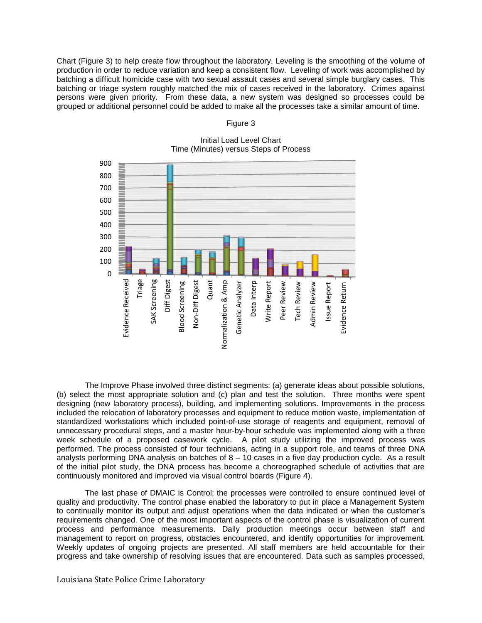Chart (Figure 3) to help create flow throughout the laboratory. Leveling is the smoothing of the volume of production in order to reduce variation and keep a consistent flow. Leveling of work was accomplished by batching a difficult homicide case with two sexual assault cases and several simple burglary cases. This batching or triage system roughly matched the mix of cases received in the laboratory. Crimes against persons were given priority. From these data, a new system was designed so processes could be grouped or additional personnel could be added to make all the processes take a similar amount of time.



# Figure 3

Initial Load Level Chart Time (Minutes) versus Steps of Process

The Improve Phase involved three distinct segments: (a) generate ideas about possible solutions, (b) select the most appropriate solution and (c) plan and test the solution. Three months were spent designing (new laboratory process), building, and implementing solutions. Improvements in the process included the relocation of laboratory processes and equipment to reduce motion waste, implementation of standardized workstations which included point-of-use storage of reagents and equipment, removal of unnecessary procedural steps, and a master hour-by-hour schedule was implemented along with a three week schedule of a proposed casework cycle. A pilot study utilizing the improved process was performed. The process consisted of four technicians, acting in a support role, and teams of three DNA analysts performing DNA analysis on batches of 8 – 10 cases in a five day production cycle. As a result of the initial pilot study, the DNA process has become a choreographed schedule of activities that are continuously monitored and improved via visual control boards (Figure 4).

The last phase of DMAIC is Control; the processes were controlled to ensure continued level of quality and productivity. The control phase enabled the laboratory to put in place a Management System to continually monitor its output and adjust operations when the data indicated or when the customer's requirements changed. One of the most important aspects of the control phase is visualization of current process and performance measurements. Daily production meetings occur between staff and management to report on progress, obstacles encountered, and identify opportunities for improvement. Weekly updates of ongoing projects are presented. All staff members are held accountable for their progress and take ownership of resolving issues that are encountered. Data such as samples processed,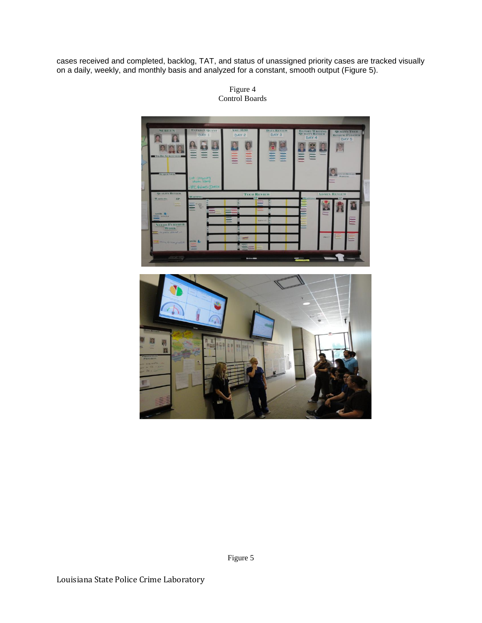cases received and completed, backlog, TAT, and status of unassigned priority cases are tracked visually on a daily, weekly, and monthly basis and analyzed for a constant, smooth output (Figure 5).

> E TEC G

Figure 4 Control Boards

Figure 5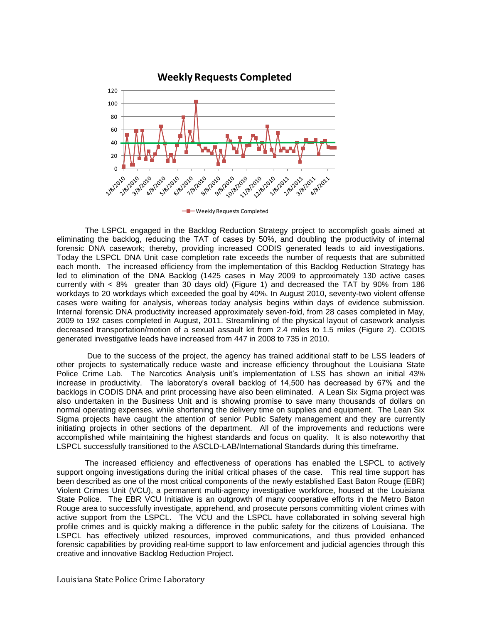

The LSPCL engaged in the Backlog Reduction Strategy project to accomplish goals aimed at eliminating the backlog, reducing the TAT of cases by 50%, and doubling the productivity of internal forensic DNA casework; thereby, providing increased CODIS generated leads to aid investigations. Today the LSPCL DNA Unit case completion rate exceeds the number of requests that are submitted each month. The increased efficiency from the implementation of this Backlog Reduction Strategy has led to elimination of the DNA Backlog (1425 cases in May 2009 to approximately 130 active cases currently with < 8% greater than 30 days old) (Figure 1) and decreased the TAT by 90% from 186 workdays to 20 workdays which exceeded the goal by 40%. In August 2010, seventy-two violent offense cases were waiting for analysis, whereas today analysis begins within days of evidence submission. Internal forensic DNA productivity increased approximately seven-fold, from 28 cases completed in May, 2009 to 192 cases completed in August, 2011. Streamlining of the physical layout of casework analysis decreased transportation/motion of a sexual assault kit from 2.4 miles to 1.5 miles (Figure 2). CODIS generated investigative leads have increased from 447 in 2008 to 735 in 2010.

Due to the success of the project, the agency has trained additional staff to be LSS leaders of other projects to systematically reduce waste and increase efficiency throughout the Louisiana State Police Crime Lab. The Narcotics Analysis unit's implementation of LSS has shown an initial 43% increase in productivity. The laboratory's overall backlog of 14,500 has decreased by 67% and the backlogs in CODIS DNA and print processing have also been eliminated. A Lean Six Sigma project was also undertaken in the Business Unit and is showing promise to save many thousands of dollars on normal operating expenses, while shortening the delivery time on supplies and equipment. The Lean Six Sigma projects have caught the attention of senior Public Safety management and they are currently initiating projects in other sections of the department. All of the improvements and reductions were accomplished while maintaining the highest standards and focus on quality. It is also noteworthy that LSPCL successfully transitioned to the ASCLD-LAB/International Standards during this timeframe.

The increased efficiency and effectiveness of operations has enabled the LSPCL to actively support ongoing investigations during the initial critical phases of the case. This real time support has been described as one of the most critical components of the newly established East Baton Rouge (EBR) Violent Crimes Unit (VCU), a permanent multi-agency investigative workforce, housed at the Louisiana State Police. The EBR VCU Initiative is an outgrowth of many cooperative efforts in the Metro Baton Rouge area to successfully investigate, apprehend, and prosecute persons committing violent crimes with active support from the LSPCL. The VCU and the LSPCL have collaborated in solving several high profile crimes and is quickly making a difference in the public safety for the citizens of Louisiana. The LSPCL has effectively utilized resources, improved communications, and thus provided enhanced forensic capabilities by providing real-time support to law enforcement and judicial agencies through this creative and innovative Backlog Reduction Project.